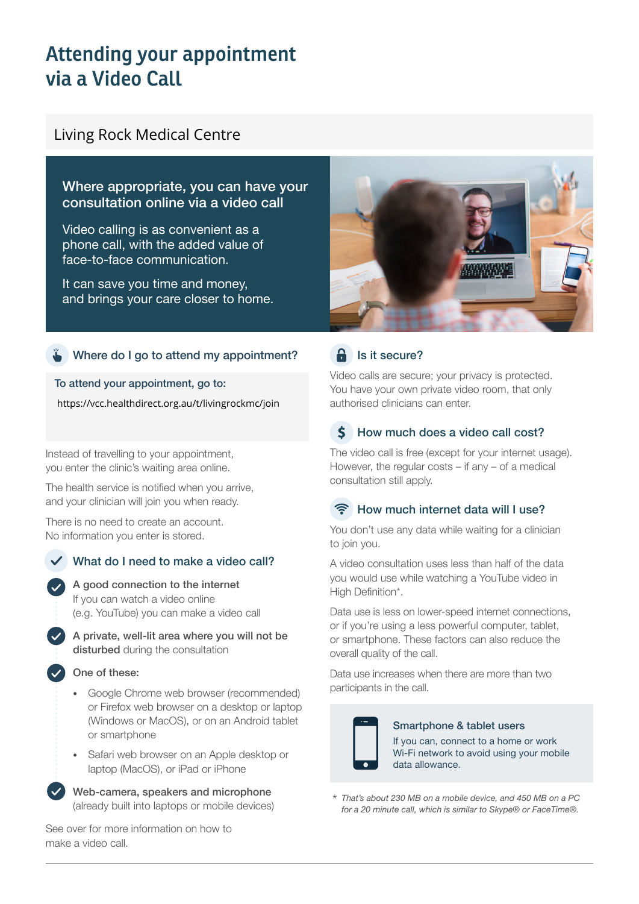# **Attending your appointment via a Video Call**

# Living Rock Medical Centre

# Where appropriate, you can have your consultation online via a video call

Video calling is as convenient as a phone call, with the added value of face-to-face communication.

It can save you time and money, and brings your care closer to home.

### Where do I go to attend my appointment?

To attend your appointment, go to:

https://vcc.healthdirect.org.au/t/livingrockmc/join

Instead of travelling to your appointment, you enter the clinic's waiting area online.

The health service is notified when you arrive, and your clinician will join you when ready.

There is no need to create an account. No information you enter is stored.

# What do I need to make a video call?



A private, well-lit area where you will not be disturbed during the consultation

### One of these:

- Google Chrome web browser (recommended) or Firefox web browser on a desktop or laptop (Windows or MacOS), or on an Android tablet or smartphone
- Safari web browser on an Apple desktop or laptop (MacOS), or iPad or iPhone

Web-camera, speakers and microphone (already built into laptops or mobile devices)

See over for more information on how to make a video call.



# $\theta$  Is it secure?

Video calls are secure; your privacy is protected. You have your own private video room, that only authorised clinicians can enter.

#### $\boldsymbol{\zeta}$ How much does a video call cost?

The video call is free (except for your internet usage). However, the regular costs – if any – of a medical consultation still apply.

# How much internet data will I use?

You don't use any data while waiting for a clinician to join you.

A video consultation uses less than half of the data you would use while watching a YouTube video in High Definition\*.

Data use is less on lower-speed internet connections, or if you're using a less powerful computer, tablet, or smartphone. These factors can also reduce the overall quality of the call.

Data use increases when there are more than two participants in the call.



### Smartphone & tablet users

If you can, connect to a home or work Wi-Fi network to avoid using your mobile data allowance.

*That's about 230 MB on a mobile device, and 450 MB on a PC for a 20 minute call, which is similar to Skype® or FaceTime®.* \*